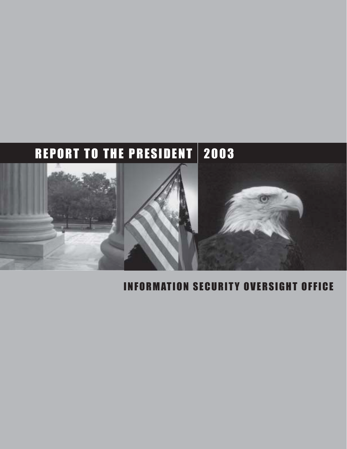# REPORT TO THE PRESIDENT | 2003



# INFORMATION SECURITY OVERSIGHT OFFICE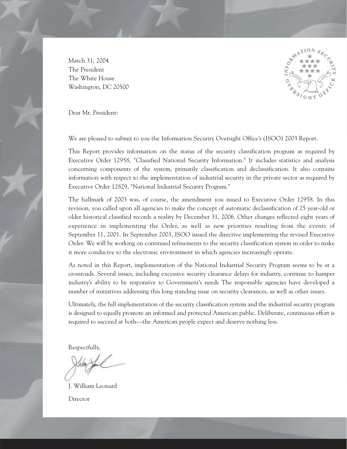March 31, 2004 The President The White House Washington, DC 20500



Dear Mr. President:

We are pleased to submit to you the Information Security Oversight Office's (ISOO) 2003 Report.

This Report provides information on the status of the security classification program as required by Executive Order 12958, "Classified National Security Information." It includes statistics and analysis concerning components of the system, primarily classification and declassification. It also contains information with respect to the implementation of industrial security in the private sector as required by Executive Order 12829, "National Industrial Security Program."

The hallmark of 2003 was, of course, the amendment you issued to Executive Order 12958. In this revision, you called upon all agencies to make the concept of automatic declassification of 25 year-old or older historical classified records a reality by December 31, 2006. Other changes reflected eight years of experience in implementing the Order, as well as new priorities resulting from the events of September 11, 2001. In September 2003, ISOO issued the directive implementing the revised Executive Order. We will be working on continued refinements to the security classification system in order to make it more conducive to the electronic environment in which agencies increasingly operate.

As noted in this Report, implementation of the National Industrial Security Program seems to be at a crossroads. Several issues, including excessive security clearance delays for industry, continue to hamper industry's ability to be responsive to Government's needs The responsible agencies have developed a number of initiatives addressing this long standing issue on security clearances, as well as other issues.

Ultimately, the full implementation of the security classification system and the industrial security program is designed to equally promote an informed and protected American public. Deliberate, continuous effort is required to succeed at both—the American people expect and deserve nothing less.

Respectfully,

J. William Leonard Director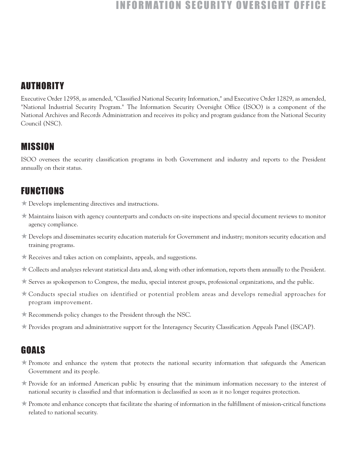# **INFORMATION SECURITY OVERSIGHT**

# AUTHORITY

Executive Order 12958, as amended, "Classified National Security Information," and Executive Order 12829, as amended, "National Industrial Security Program." The Information Security Oversight Office (ISOO) is a component of the National Archives and Records Administration and receives its policy and program guidance from the National Security Council (NSC).

# MISSION

ISOO oversees the security classification programs in both Government and industry and reports to the President annually on their status.

# FUNCTIONS

- ★ Develops implementing directives and instructions.
- ★ Maintains liaison with agency counterparts and conducts on-site inspections and special document reviews to monitor agency compliance.
- ★ Develops and disseminates security education materials for Government and industry; monitors security education and training programs.
- $\star$  Receives and takes action on complaints, appeals, and suggestions.
- ★ Collects and analyzes relevant statistical data and, along with other information, reports them annually to the President.
- ★ Serves as spokesperson to Congress, the media, special interest groups, professional organizations, and the public.
- ★ Conducts special studies on identified or potential problem areas and develops remedial approaches for program improvement.
- ★ Recommends policy changes to the President through the NSC.
- ★ Provides program and administrative support for the Interagency Security Classification Appeals Panel (ISCAP).

# GOALS

- ★ Promote and enhance the system that protects the national security information that safeguards the American Government and its people.
- ★ Provide for an informed American public by ensuring that the minimum information necessary to the interest of national security is classified and that information is declassified as soon as it no longer requires protection.
- $\star$  Promote and enhance concepts that facilitate the sharing of information in the fulfillment of mission-critical functions related to national security.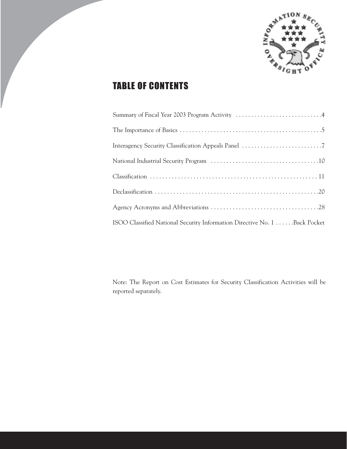

# TABLE OF CONTENTS

| ISOO Classified National Security Information Directive No. 1 Back Pocket |
|---------------------------------------------------------------------------|

Note: The Report on Cost Estimates for Security Classification Activities will be reported separately.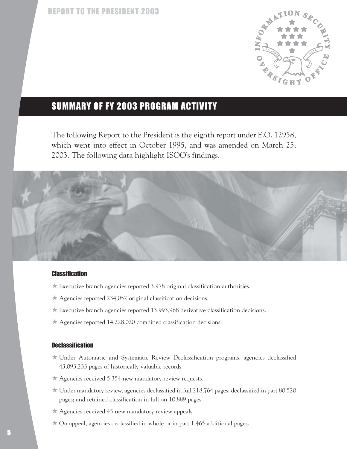

# SUMMARY OF FY 2003 PROGRAM ACTIVITY

The following Report to the President is the eighth report under E.O. 12958, which went into effect in October 1995, and was amended on March 25, 2003. The following data highlight ISOO's findings.



#### **Classification**

- $\star$  Executive branch agencies reported 3,978 original classification authorities.
- ★ Agencies reported 234,052 original classification decisions.
- ★ Executive branch agencies reported 13,993,968 derivative classification decisions.
- ★ Agencies reported 14,228,020 combined classification decisions.

#### **Declassification**

- ★ Under Automatic and Systematic Review Declassification programs, agencies declassified 43,093,233 pages of historically valuable records.
- ★ Agencies received 5,354 new mandatory review requests.
- ★ Under mandatory review, agencies declassified in full 218,764 pages; declassified in part 80,520 pages; and retained classification in full on 10,889 pages.
- ★ Agencies received 43 new mandatory review appeals.
- $\star$  On appeal, agencies declassified in whole or in part 1,465 additional pages.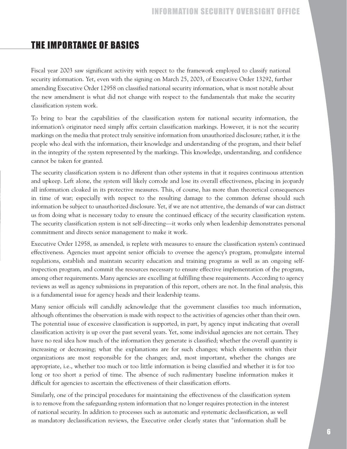# THE IMPORTANCE OF BASICS

Fiscal year 2003 saw significant activity with respect to the framework employed to classify national security information. Yet, even with the signing on March 25, 2003, of Executive Order 13292, further amending Executive Order 12958 on classified national security information, what is most notable about the new amendment is what did not change with respect to the fundamentals that make the security classification system work.

To bring to bear the capabilities of the classification system for national security information, the information's originator need simply affix certain classification markings. However, it is not the security markings on the media that protect truly sensitive information from unauthorized disclosure; rather, it is the people who deal with the information, their knowledge and understanding of the program, and their belief in the integrity of the system represented by the markings. This knowledge, understanding, and confidence cannot be taken for granted.

The security classification system is no different than other systems in that it requires continuous attention and upkeep. Left alone, the system will likely corrode and lose its overall effectiveness, placing in jeopardy all information cloaked in its protective measures. This, of course, has more than theoretical consequences in time of war; especially with respect to the resulting damage to the common defense should such information be subject to unauthorized disclosure. Yet, if we are not attentive, the demands of war can distract us from doing what is necessary today to ensure the continued efficacy of the security classification system. The security classification system is not self-directing—it works only when leadership demonstrates personal commitment and directs senior management to make it work.

Executive Order 12958, as amended, is replete with measures to ensure the classification system's continued effectiveness. Agencies must appoint senior officials to oversee the agency's program, promulgate internal regulations, establish and maintain security education and training programs as well as an ongoing selfinspection program, and commit the resources necessary to ensure effective implementation of the program, among other requirements. Many agencies are excelling at fulfilling these requirements. According to agency reviews as well as agency submissions in preparation of this report, others are not. In the final analysis, this is a fundamental issue for agency heads and their leadership teams.

Many senior officials will candidly acknowledge that the government classifies too much information, although oftentimes the observation is made with respect to the activities of agencies other than their own. The potential issue of excessive classification is supported, in part, by agency input indicating that overall classification activity is up over the past several years. Yet, some individual agencies are not certain. They have no real idea how much of the information they generate is classified; whether the overall quantity is increasing or decreasing; what the explanations are for such changes; which elements within their organizations are most responsible for the changes; and, most important, whether the changes are appropriate, i.e., whether too much or too little information is being classified and whether it is for too long or too short a period of time. The absence of such rudimentary baseline information makes it difficult for agencies to ascertain the effectiveness of their classification efforts.

Similarly, one of the principal procedures for maintaining the effectiveness of the classification system is to remove from the safeguarding system information that no longer requires protection in the interest of national security. In addition to processes such as automatic and systematic declassification, as well as mandatory declassification reviews, the Executive order clearly states that "information shall be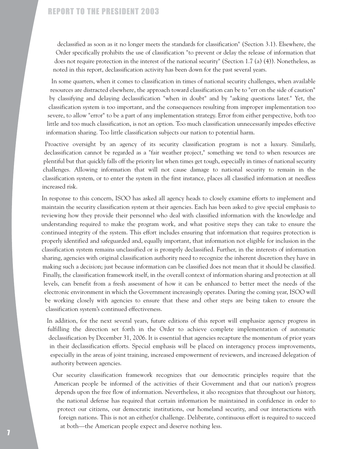declassified as soon as it no longer meets the standards for classification" (Section 3.1). Elsewhere, the Order specifically prohibits the use of classification "to prevent or delay the release of information that does not require protection in the interest of the national security" (Section 1.7 (a) (4)). Nonetheless, as noted in this report, declassification activity has been down for the past several years.

In some quarters, when it comes to classification in times of national security challenges, when available resources are distracted elsewhere, the approach toward classification can be to "err on the side of caution" by classifying and delaying declassification "when in doubt" and by "asking questions later." Yet, the classification system is too important, and the consequences resulting from improper implementation too severe, to allow "error" to be a part of any implementation strategy. Error from either perspective, both too little and too much classification, is not an option. Too much classification unnecessarily impedes effective information sharing. Too little classification subjects our nation to potential harm.

Proactive oversight by an agency of its security classification program is not a luxury. Similarly, declassification cannot be regarded as a "fair weather project," something we tend to when resources are plentiful but that quickly falls off the priority list when times get tough, especially in times of national security challenges. Allowing information that will not cause damage to national security to remain in the classification system, or to enter the system in the first instance, places all classified information at needless increased risk.

In response to this concern, ISOO has asked all agency heads to closely examine efforts to implement and maintain the security classification system at their agencies. Each has been asked to give special emphasis to reviewing how they provide their personnel who deal with classified information with the knowledge and understanding required to make the program work, and what positive steps they can take to ensure the continued integrity of the system. This effort includes ensuring that information that requires protection is properly identified and safeguarded and, equally important, that information not eligible for inclusion in the classification system remains unclassified or is promptly declassified. Further, in the interests of information sharing, agencies with original classification authority need to recognize the inherent discretion they have in making such a decision; just because information can be classified does not mean that it should be classified. Finally, the classification framework itself, in the overall context of information sharing and protection at all levels, can benefit from a fresh assessment of how it can be enhanced to better meet the needs of the electronic environment in which the Government increasingly operates. During the coming year, ISOO will be working closely with agencies to ensure that these and other steps are being taken to ensure the classification system's continued effectiveness.

In addition, for the next several years, future editions of this report will emphasize agency progress in fulfilling the direction set forth in the Order to achieve complete implementation of automatic declassification by December 31, 2006. It is essential that agencies recapture the momentum of prior years in their declassification efforts. Special emphasis will be placed on interagency process improvements, especially in the areas of joint training, increased empowerment of reviewers, and increased delegation of authority between agencies.

Our security classification framework recognizes that our democratic principles require that the American people be informed of the activities of their Government and that our nation's progress depends upon the free flow of information. Nevertheless, it also recognizes that throughout our history, the national defense has required that certain information be maintained in confidence in order to protect our citizens, our democratic institutions, our homeland security, and our interactions with foreign nations. This is not an either/or challenge. Deliberate, continuous effort is required to succeed at both—the American people expect and deserve nothing less.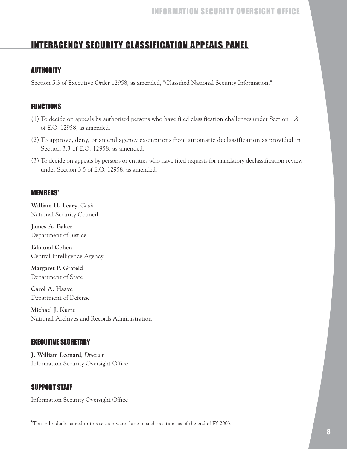# INTERAGENCY SECURITY CLASSIFICATION APPEALS PANEL

### **AUTHORITY**

Section 5.3 of Executive Order 12958, as amended, "Classified National Security Information."

### FUNCTIONS

- (1) To decide on appeals by authorized persons who have filed classification challenges under Section 1.8 of E.O. 12958, as amended.
- (2) To approve, deny, or amend agency exemptions from automatic declassification as provided in Section 3.3 of E.O. 12958, as amended.
- (3) To decide on appeals by persons or entities who have filed requests for mandatory declassification review under Section 3.5 of E.O. 12958, as amended.

### MEMBERS\*

**William H. Leary**, *Chair* National Security Council

**James A. Baker** Department of Justice

**Edmund Cohen** Central Intelligence Agency

**Margaret P. Grafeld** Department of State

**Carol A. Haave** Department of Defense

**Michael J. Kurtz** National Archives and Records Administration

### EXECUTIVE SECRETARY

**J. William Leonard**, *Director*  Information Security Oversight Office

### SUPPORT STAFF

Information Security Oversight Office

\*The individuals named in this section were those in such positions as of the end of FY 2003.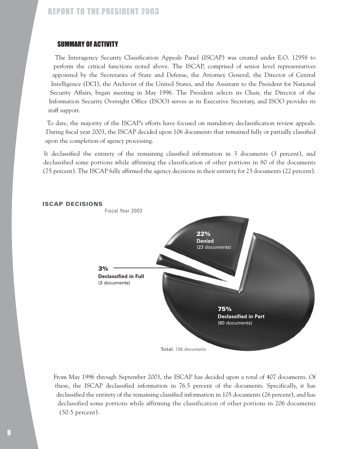### SUMMARY OF ACTIVITY

The Interagency Security Classification Appeals Panel (ISCAP) was created under E.O. 12958 to perform the critical functions noted above. The ISCAP, comprised of senior level representatives appointed by the Secretaries of State and Defense, the Attorney General, the Director of Central Intelligence (DCI), the Archivist of the United States, and the Assistant to the President for National Security Affairs, began meeting in May 1996. The President selects its Chair, the Director of the Information Security Oversight Office (ISOO) serves as its Executive Secretary, and ISOO provides its staff support.

To date, the majority of the ISCAP's efforts have focused on mandatory declassification review appeals. During fiscal year 2003, the ISCAP decided upon 106 documents that remained fully or partially classified upon the completion of agency processing.

It declassified the entirety of the remaining classified information in 3 documents (3 percent), and declassified some portions while affirming the classification of other portions in 80 of the documents (75 percent). The ISCAP fully affirmed the agency decisions in their entirety for 23 documents (22 percent).



#### ISCAP DECISIONS

From May 1996 through September 2003, the ISCAP has decided upon a total of 407 documents. Of these, the ISCAP declassified information in 76.5 percent of the documents. Specifically, it has declassified the entirety of the remaining classified information in 105 documents (26 percent), and has declassified some portions while affirming the classification of other portions in 206 documents (50.5 percent).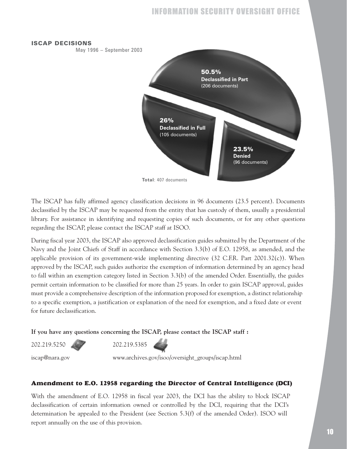#### ISCAP DECISIONS

May 1996 – September 2003



The ISCAP has fully affirmed agency classification decisions in 96 documents (23.5 percent). Documents declassified by the ISCAP may be requested from the entity that has custody of them, usually a presidential library. For assistance in identifying and requesting copies of such documents, or for any other questions regarding the ISCAP, please contact the ISCAP staff at ISOO.

During fiscal year 2003, the ISCAP also approved declassification guides submitted by the Department of the Navy and the Joint Chiefs of Staff in accordance with Section 3.3(b) of E.O. 12958, as amended, and the applicable provision of its government-wide implementing directive  $(32 \text{ C.F.R. Part } 2001.32(c))$ . When approved by the ISCAP, such guides authorize the exemption of information determined by an agency head to fall within an exemption category listed in Section 3.3(b) of the amended Order. Essentially, the guides permit certain information to be classified for more than 25 years. In order to gain ISCAP approval, guides must provide a comprehensive description of the information proposed for exemption, a distinct relationship to a specific exemption, a justification or explanation of the need for exemption, and a fixed date or event for future declassification.

**If you have any questions concerning the ISCAP, please contact the ISCAP staff :**

202.219.5250 202.219.5385

iscap@nara.gov www.archives.gov/isoo/oversight\_groups/iscap.html

#### **Amendment to E.O. 12958 regarding the Director of Central Intelligence (DCI)**

With the amendment of E.O. 12958 in fiscal year 2003, the DCI has the ability to block ISCAP declassification of certain information owned or controlled by the DCI, requiring that the DCI's determination be appealed to the President (see Section 5.3(f) of the amended Order). ISOO will report annually on the use of this provision.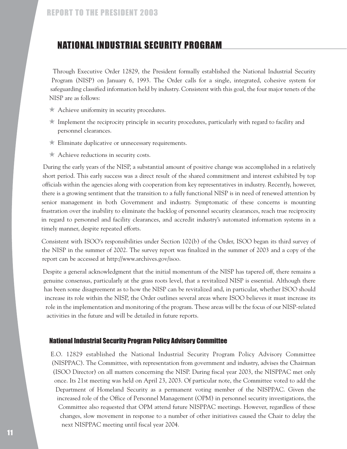# NATIONAL INDUSTRIAL SECURITY PROGRAM

Through Executive Order 12829, the President formally established the National Industrial Security Program (NISP) on January 6, 1993. The Order calls for a single, integrated, cohesive system for safeguarding classified information held by industry. Consistent with this goal, the four major tenets of the NISP are as follows:

- ★ Achieve uniformity in security procedures.
- $\star$  Implement the reciprocity principle in security procedures, particularly with regard to facility and personnel clearances.
- ★ Eliminate duplicative or unnecessary requirements.
- ★ Achieve reductions in security costs.

During the early years of the NISP, a substantial amount of positive change was accomplished in a relatively short period. This early success was a direct result of the shared commitment and interest exhibited by top officials within the agencies along with cooperation from key representatives in industry. Recently, however, there is a growing sentiment that the transition to a fully functional NISP is in need of renewed attention by senior management in both Government and industry. Symptomatic of these concerns is mounting frustration over the inability to eliminate the backlog of personnel security clearances, reach true reciprocity in regard to personnel and facility clearances, and accredit industry's automated information systems in a timely manner, despite repeated efforts.

Consistent with ISOO's responsibilities under Section 102(b) of the Order, ISOO began its third survey of the NISP in the summer of 2002. The survey report was finalized in the summer of 2003 and a copy of the report can be accessed at http://www.archives.gov/isoo.

Despite a general acknowledgment that the initial momentum of the NISP has tapered off, there remains a genuine consensus, particularly at the grass roots level, that a revitalized NISP is essential. Although there has been some disagreement as to how the NISP can be revitalized and, in particular, whether ISOO should increase its role within the NISP, the Order outlines several areas where ISOO believes it must increase its role in the implementation and monitoring of the program. These areas will be the focus of our NISP-related activities in the future and will be detailed in future reports.

#### National Industrial Security Program Policy Advisory Committee

E.O. 12829 established the National Industrial Security Program Policy Advisory Committee (NISPPAC). The Committee, with representation from government and industry, advises the Chairman (ISOO Director) on all matters concerning the NISP. During fiscal year 2003, the NISPPAC met only once. Its 21st meeting was held on April 23, 2003. Of particular note, the Committee voted to add the Department of Homeland Security as a permanent voting member of the NISPPAC. Given the increased role of the Office of Personnel Management (OPM) in personnel security investigations, the Committee also requested that OPM attend future NISPPAC meetings. However, regardless of these changes, slow movement in response to a number of other initiatives caused the Chair to delay the next NISPPAC meeting until fiscal year 2004.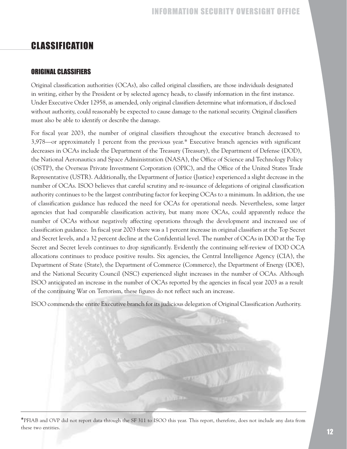# **CLASSIFICATION**

### ORIGINAL CLASSIFIERS

Original classification authorities (OCAs), also called original classifiers, are those individuals designated in writing, either by the President or by selected agency heads, to classify information in the first instance. Under Executive Order 12958, as amended, only original classifiers determine what information, if disclosed without authority, could reasonably be expected to cause damage to the national security. Original classifiers must also be able to identify or describe the damage.

For fiscal year 2003, the number of original classifiers throughout the executive branch decreased to 3,978—or approximately 1 percent from the previous year.\* Executive branch agencies with significant decreases in OCAs include the Department of the Treasury (Treasury), the Department of Defense (DOD), the National Aeronautics and Space Administration (NASA), the Office of Science and Technology Policy (OSTP), the Overseas Private Investment Corporation (OPIC), and the Office of the United States Trade Representative (USTR). Additionally, the Department of Justice (Justice) experienced a slight decrease in the number of OCAs. ISOO believes that careful scrutiny and re-issuance of delegations of original classification authority continues to be the largest contributing factor for keeping OCAs to a minimum. In addition, the use of classification guidance has reduced the need for OCAs for operational needs. Nevertheless, some larger agencies that had comparable classification activity, but many more OCAs, could apparently reduce the number of OCAs without negatively affecting operations through the development and increased use of classification guidance. In fiscal year 2003 there was a 1 percent increase in original classifiers at the Top Secret and Secret levels, and a 32 percent decline at the Confidential level. The number of OCAs in DOD at the Top Secret and Secret levels continues to drop significantly. Evidently the continuing self-review of DOD OCA allocations continues to produce positive results. Six agencies, the Central Intelligence Agency (CIA), the Department of State (State), the Department of Commerce (Commerce), the Department of Energy (DOE), and the National Security Council (NSC) experienced slight increases in the number of OCAs. Although ISOO anticipated an increase in the number of OCAs reported by the agencies in fiscal year 2003 as a result of the continuing War on Terrorism, these figures do not reflect such an increase.

ISOO commends the entire Executive branch for its judicious delegation of Original Classification Authority.

\*PFIAB and OVP did not report data through the SF 311 to ISOO this year. This report, therefore, does not include any data from these two entities.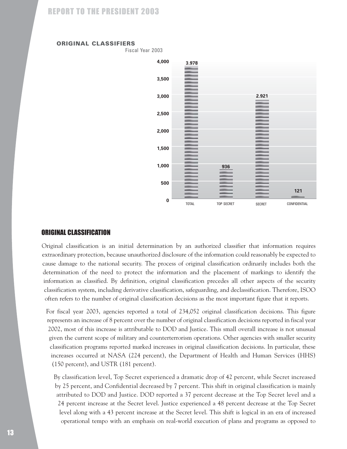#### ORIGINAL CLASSIFIERS

Fiscal Year 2003



#### ORIGINAL CLASSIFICATION

Original classification is an initial determination by an authorized classifier that information requires extraordinary protection, because unauthorized disclosure of the information could reasonably be expected to cause damage to the national security. The process of original classification ordinarily includes both the determination of the need to protect the information and the placement of markings to identify the information as classified. By definition, original classification precedes all other aspects of the security classification system, including derivative classification, safeguarding, and declassification. Therefore, ISOO often refers to the number of original classification decisions as the most important figure that it reports.

For fiscal year 2003, agencies reported a total of 234,052 original classification decisions. This figure represents an increase of 8 percent over the number of original classification decisions reported in fiscal year 2002, most of this increase is attributable to DOD and Justice. This small overall increase is not unusual given the current scope of military and counterterrorism operations. Other agencies with smaller security classification programs reported marked increases in original classification decisions. In particular, these increases occurred at NASA (224 percent), the Department of Health and Human Services (HHS) (150 percent), and USTR (181 percent).

By classification level, Top Secret experienced a dramatic drop of 42 percent, while Secret increased by 25 percent, and Confidential decreased by 7 percent. This shift in original classification is mainly attributed to DOD and Justice. DOD reported a 37 percent decrease at the Top Secret level and a 24 percent increase at the Secret level. Justice experienced a 48 percent decrease at the Top Secret level along with a 43 percent increase at the Secret level. This shift is logical in an era of increased operational tempo with an emphasis on real-world execution of plans and programs as opposed to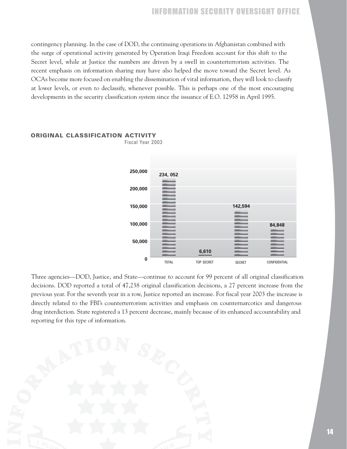contingency planning. In the case of DOD, the continuing operations in Afghanistan combined with the surge of operational activity generated by Operation Iraqi Freedom account for this shift to the Secret level, while at Justice the numbers are driven by a swell in counterterrorism activities. The recent emphasis on information sharing may have also helped the move toward the Secret level. As OCAs become more focused on enabling the dissemination of vital information, they will look to classify at lower levels, or even to declassify, whenever possible. This is perhaps one of the most encouraging developments in the security classification system since the issuance of E.O. 12958 in April 1995.



### ORIGINAL CLASSIFICATION ACTIVITY

Fiscal Year 2003

Three agencies—DOD, Justice, and State—continue to account for 99 percent of all original classification decisions. DOD reported a total of 47,238 original classification decisions, a 27 percent increase from the previous year. For the seventh year in a row, Justice reported an increase. For fiscal year 2003 the increase is directly related to the FBI's counterterrorism activities and emphasis on counternarcotics and dangerous drug interdiction. State registered a 13 percent decrease, mainly because of its enhanced accountability and reporting for this type of information.

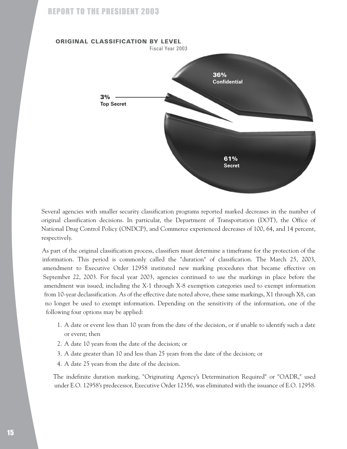

Several agencies with smaller security classification programs reported marked decreases in the number of original classification decisions. In particular, the Department of Transportation (DOT), the Office of National Drug Control Policy (ONDCP), and Commerce experienced decreases of 100, 64, and 14 percent, respectively.

As part of the original classification process, classifiers must determine a timeframe for the protection of the information. This period is commonly called the "duration" of classification. The March 25, 2003, amendment to Executive Order 12958 instituted new marking procedures that became effective on September 22, 2003. For fiscal year 2003, agencies continued to use the markings in place before the amendment was issued, including the X-1 through X-8 exemption categories used to exempt information from 10-year declassification. As of the effective date noted above, these same markings, X1 through X8, can no longer be used to exempt information. Depending on the sensitivity of the information, one of the following four options may be applied:

- 1. A date or event less than 10 years from the date of the decision, or if unable to identify such a date or event; then
- 2. A date 10 years from the date of the decision; or
- 3. A date greater than 10 and less than 25 years from the date of the decision; or
- 4. A date 25 years from the date of the decision.

The indefinite duration marking, "Originating Agency's Determination Required" or "OADR," used under E.O. 12958's predecessor, Executive Order 12356, was eliminated with the issuance of E.O. 12958.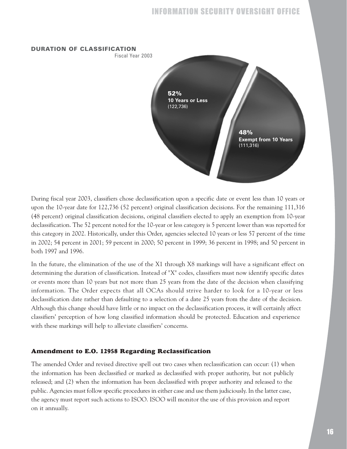

During fiscal year 2003, classifiers chose declassification upon a specific date or event less than 10 years or upon the 10-year date for 122,736 (52 percent) original classification decisions. For the remaining 111,316 (48 percent) original classification decisions, original classifiers elected to apply an exemption from 10-year declassification. The 52 percent noted for the 10-year or less category is 5 percent lower than was reported for this category in 2002. Historically, under this Order, agencies selected 10 years or less 57 percent of the time in 2002; 54 percent in 2001; 59 percent in 2000; 50 percent in 1999; 36 percent in 1998; and 50 percent in both 1997 and 1996.

In the future, the elimination of the use of the X1 through X8 markings will have a significant effect on determining the duration of classification. Instead of "X" codes, classifiers must now identify specific dates or events more than 10 years but not more than 25 years from the date of the decision when classifying information. The Order expects that all OCAs should strive harder to look for a 10-year or less declassification date rather than defaulting to a selection of a date 25 years from the date of the decision. Although this change should have little or no impact on the declassification process, it will certainly affect classifiers' perception of how long classified information should be protected. Education and experience with these markings will help to alleviate classifiers' concerns.

#### **Amendment to E.O. 12958 Regarding Reclassification**

The amended Order and revised directive spell out two cases when reclassification can occur: (1) when the information has been declassified or marked as declassified with proper authority, but not publicly released; and (2) when the information has been declassified with proper authority and released to the public. Agencies must follow specific procedures in either case and use them judiciously. In the latter case, the agency must report such actions to ISOO. ISOO will monitor the use of this provision and report on it annually.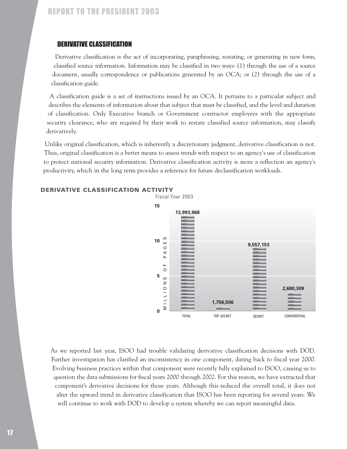### DERIVATIVE CLASSIFICATION

Derivative classification is the act of incorporating, paraphrasing, restating, or generating in new form, classified source information. Information may be classified in two ways: (1) through the use of a source document, usually correspondence or publications generated by an OCA; or (2) through the use of a classification guide.

A classification guide is a set of instructions issued by an OCA. It pertains to a particular subject and describes the elements of information about that subject that must be classified, and the level and duration of classification. Only Executive branch or Government contractor employees with the appropriate security clearance, who are required by their work to restate classified source information, may classify derivatively.

Unlike original classification, which is inherently a discretionary judgment, derivative classification is not. Thus, original classification is a better means to assess trends with respect to an agency's use of classification to protect national security information. Derivative classification activity is more a reflection an agency's productivity, which in the long term provides a reference for future declassification workloads.



#### DERIVATIVE CLASSIFICATION ACTIVITY

As we reported last year, ISOO had trouble validating derivative classification decisions with DOD. Further investigation has clarified an inconsistency in one component, dating back to fiscal year 2000. Evolving business practices within that component were recently fully explained to ISOO, causing us to question the data submissions for fiscal years 2000 through 2002. For this reason, we have extracted that component's derivative decisions for those years. Although this reduced the overall total, it does not alter the upward trend in derivative classification that ISOO has been reporting for several years. We will continue to work with DOD to develop a system whereby we can report meaningful data.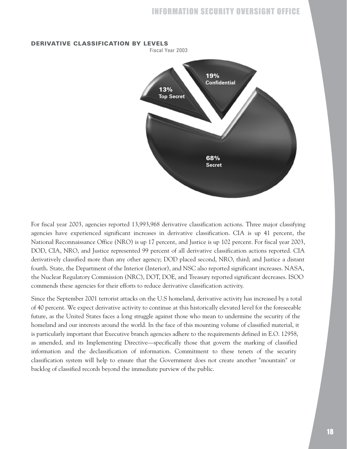

#### DERIVATIVE CLASSIFICATION BY LEVELS

For fiscal year 2003, agencies reported 13,993,968 derivative classification actions. Three major classifying agencies have experienced significant increases in derivative classification. CIA is up 41 percent, the National Reconnaissance Office (NRO) is up 17 percent, and Justice is up 102 percent. For fiscal year 2003, DOD, CIA, NRO, and Justice represented 99 percent of all derivative classification actions reported. CIA derivatively classified more than any other agency; DOD placed second, NRO, third; and Justice a distant fourth. State, the Department of the Interior (Interior), and NSC also reported significant increases. NASA, the Nuclear Regulatory Commission (NRC), DOT, DOE, and Treasury reported significant decreases. ISOO commends these agencies for their efforts to reduce derivative classification activity.

Since the September 2001 terrorist attacks on the U.S homeland, derivative activity has increased by a total of 40 percent. We expect derivative activity to continue at this historically elevated level for the foreseeable future, as the United States faces a long struggle against those who mean to undermine the security of the homeland and our interests around the world. In the face of this mounting volume of classified material, it is particularly important that Executive branch agencies adhere to the requirements defined in E.O. 12958, as amended, and its Implementing Directive—specifically those that govern the marking of classified information and the declassification of information. Commitment to these tenets of the security classification system will help to ensure that the Government does not create another "mountain" or backlog of classified records beyond the immediate purview of the public.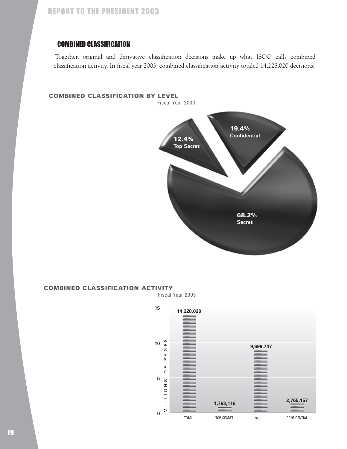### COMBINED CLASSIFICATION

Together, original and derivative classification decisions make up what ISOO calls combined classification activity. In fiscal year 2003, combined classification activity totaled 14,228,020 decisions.

#### COMBINED CLASSIFICATION BY LEVEL

Fiscal Year 2003



#### COMBINED CLASSIFICATION ACTIVITY

Fiscal Year 2003

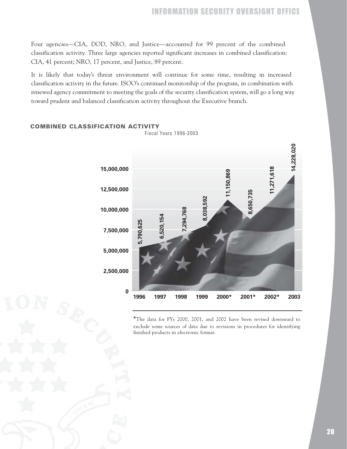Four agencies—CIA, DOD, NRO, and Justice—accounted for 99 percent of the combined classification activity. Three large agencies reported significant increases in combined classification: CIA, 41 percent; NRO, 17 percent, and Justice, 89 percent.

It is likely that today's threat environment will continue for some time, resulting in increased classification activity in the future. ISOO's continued monitorship of the program, in combination with renewed agency commitment to meeting the goals of the security classification system, will go a long way toward prudent and balanced classification activity throughout the Executive branch.



#### COMBINED CLASSIFICATION ACTIVITY

\*The data for FYs 2000, 2001, and 2002 have been revised downward to exclude some sources of data due to revisions in procedures for identifying finished products in electronic format.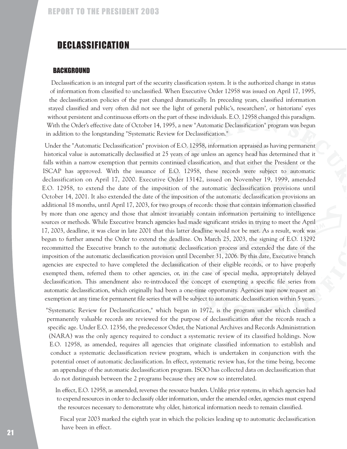### DECLASSIFICATION

#### **BACKGROUND**

Declassification is an integral part of the security classification system. It is the authorized change in status of information from classified to unclassified. When Executive Order 12958 was issued on April 17, 1995, the declassification policies of the past changed dramatically. In preceding years, classified information stayed classified and very often did not see the light of general public's, researchers', or historians' eyes without persistent and continuous efforts on the part of these individuals. E.O. 12958 changed this paradigm. With the Order's effective date of October 14, 1995, a new "Automatic Declassification" program was begun in addition to the longstanding "Systematic Review for Declassification."

Under the "Automatic Declassification" provision of E.O. 12958, information appraised as having permanent historical value is automatically declassified at 25 years of age unless an agency head has determined that it falls within a narrow exemption that permits continued classification, and that either the President or the ISCAP has approved. With the issuance of E.O. 12958, these records were subject to automatic declassification on April 17, 2000. Executive Order 13142, issued on November 19, 1999, amended E.O. 12958, to extend the date of the imposition of the automatic declassification provisions until October 14, 2001. It also extended the date of the imposition of the automatic declassification provisions an additional 18 months, until April 17, 2003, for two groups of records: those that contain information classified by more than one agency and those that almost invariably contain information pertaining to intelligence sources or methods. While Executive branch agencies had made significant strides in trying to meet the April 17, 2003, deadline, it was clear in late 2001 that this latter deadline would not be met. As a result, work was begun to further amend the Order to extend the deadline. On March 25, 2003, the signing of E.O. 13292 recommitted the Executive branch to the automatic declassification process and extended the date of the imposition of the automatic declassification provision until December 31, 2006. By this date, Executive branch agencies are expected to have completed the declassification of their eligible records, or to have properly exempted them, referred them to other agencies, or, in the case of special media, appropriately delayed declassification. This amendment also re-introduced the concept of exempting a specific file series from automatic declassification, which originally had been a one-time opportunity. Agencies may now request an exemption at any time for permanent file series that will be subject to automatic declassification within 5 years.

"Systematic Review for Declassification," which began in 1972, is the program under which classified permanently valuable records are reviewed for the purpose of declassification after the records reach a specific age. Under E.O. 12356, the predecessor Order, the National Archives and Records Administration (NARA) was the only agency required to conduct a systematic review of its classified holdings. Now E.O. 12958, as amended, requires all agencies that originate classified information to establish and conduct a systematic declassification review program, which is undertaken in conjunction with the potential onset of automatic declassification. In effect, systematic review has, for the time being, become an appendage of the automatic declassification program. ISOO has collected data on declassification that do not distinguish between the 2 programs because they are now so interrelated.

In effect, E.O. 12958, as amended, reverses the resource burden. Unlike prior systems, in which agencies had to expend resources in order to declassify older information, under the amended order, agencies must expend the resources necessary to demonstrate why older, historical information needs to remain classified.

Fiscal year 2003 marked the eighth year in which the policies leading up to automatic declassification have been in effect.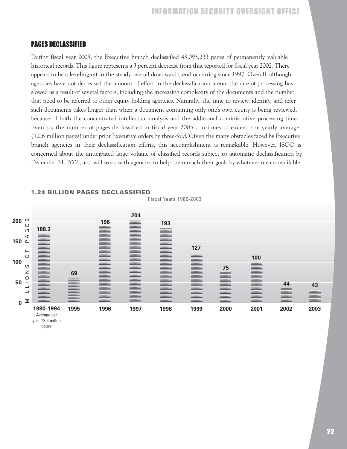### PAGES DECLASSIFIED

pages

During fiscal year 2003, the Executive branch declassified 43,093,233 pages of permanently valuable historical records. This figure represents a 3 percent decrease from that reported for fiscal year 2002. There appears to be a leveling-off in the steady overall downward trend occurring since 1997. Overall, although agencies have not decreased the amount of effort in the declassification arena, the rate of processing has slowed as a result of several factors, including the increasing complexity of the documents and the number that need to be referred to other equity holding agencies. Naturally, the time to review, identify, and refer such documents takes longer than when a document containing only one's own equity is being reviewed, because of both the concentrated intellectual analysis and the additional administrative processing time. Even so, the number of pages declassified in fiscal year 2003 continues to exceed the yearly average (12.6 million pages) under prior Executive orders by three-fold. Given the many obstacles faced by Executive branch agencies in their declassification efforts, this accomplishment is remarkable. However, ISOO is concerned about the anticipated large volume of classified records subject to automatic declassification by December 31, 2006, and will work with agencies to help them reach their goals by whatever means available.



#### 1.24 BILLION PAGES DECLASSIFIED

Fiscal Years 1980-2003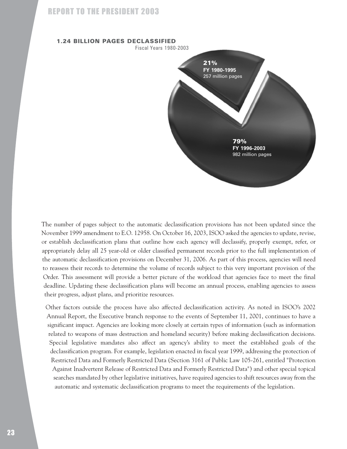

The number of pages subject to the automatic declassification provisions has not been updated since the November 1999 amendment to E.O. 12958. On October 16, 2003, ISOO asked the agencies to update, revise, or establish declassification plans that outline how each agency will declassify, properly exempt, refer, or appropriately delay all 25 year-old or older classified permanent records prior to the full implementation of the automatic declassification provisions on December 31, 2006. As part of this process, agencies will need to reassess their records to determine the volume of records subject to this very important provision of the Order. This assessment will provide a better picture of the workload that agencies face to meet the final deadline. Updating these declassification plans will become an annual process, enabling agencies to assess their progress, adjust plans, and prioritize resources.

Other factors outside the process have also affected declassification activity. As noted in ISOO's 2002 Annual Report, the Executive branch response to the events of September 11, 2001, continues to have a significant impact. Agencies are looking more closely at certain types of information (such as information related to weapons of mass destruction and homeland security) before making declassification decisions. Special legislative mandates also affect an agency's ability to meet the established goals of the declassification program. For example, legislation enacted in fiscal year 1999, addressing the protection of Restricted Data and Formerly Restricted Data (Section 3161 of Public Law 105-261, entitled "Protection Against Inadvertent Release of Restricted Data and Formerly Restricted Data") and other special topical searches mandated by other legislative initiatives, have required agencies to shift resources away from the automatic and systematic declassification programs to meet the requirements of the legislation.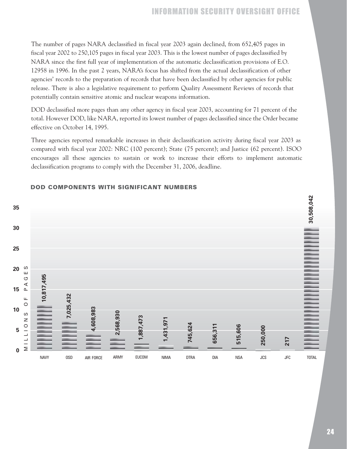The number of pages NARA declassified in fiscal year 2003 again declined, from 652,405 pages in fiscal year 2002 to 250,105 pages in fiscal year 2003. This is the lowest number of pages declassified by NARA since the first full year of implementation of the automatic declassification provisions of E.O. 12958 in 1996. In the past 2 years, NARA's focus has shifted from the actual declassification of other agencies' records to the preparation of records that have been declassified by other agencies for public release. There is also a legislative requirement to perform Quality Assessment Reviews of records that potentially contain sensitive atomic and nuclear weapons information.

DOD declassified more pages than any other agency in fiscal year 2003, accounting for 71 percent of the total. However DOD, like NARA, reported its lowest number of pages declassified since the Order became effective on October 14, 1995.

Three agencies reported remarkable increases in their declassification activity during fiscal year 2003 as compared with fiscal year 2002: NRC (100 percent); State (75 percent); and Justice (62 percent). ISOO encourages all these agencies to sustain or work to increase their efforts to implement automatic declassification programs to comply with the December 31, 2006, deadline.



### DOD COMPONENTS WITH SIGNIFICANT NUMBERS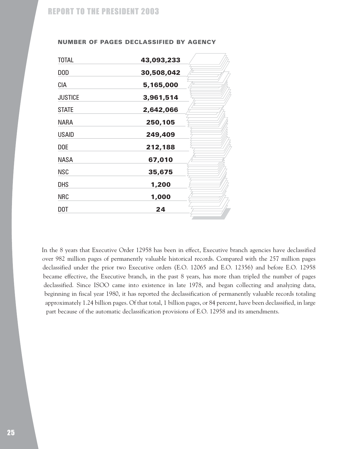| 43,093,233 |
|------------|
| 30,508,042 |
| 5,165,000  |
| 3,961,514  |
| 2,642,066  |
| 250,105    |
| 249,409    |
| 212,188    |
| 67,010     |
| 35,675     |
| 1,200      |
| 1,000      |
| 24         |
|            |

#### NUMBER OF PAGES DECLASSIFIED BY AGENCY

In the 8 years that Executive Order 12958 has been in effect, Executive branch agencies have declassified over 982 million pages of permanently valuable historical records. Compared with the 257 million pages declassified under the prior two Executive orders (E.O. 12065 and E.O. 12356) and before E.O. 12958 became effective, the Executive branch, in the past 8 years, has more than tripled the number of pages declassified. Since ISOO came into existence in late 1978, and began collecting and analyzing data, beginning in fiscal year 1980, it has reported the declassification of permanently valuable records totaling approximately 1.24 billion pages. Of that total, 1 billion pages, or 84 percent, have been declassified, in large part because of the automatic declassification provisions of E.O. 12958 and its amendments.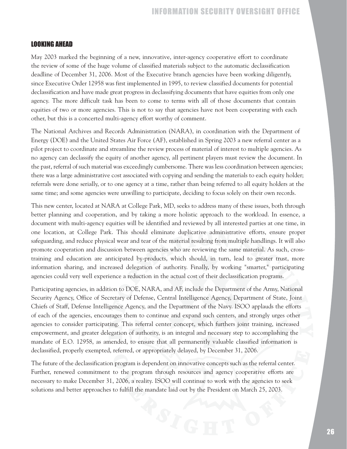### LOOKING AHEAD

May 2003 marked the beginning of a new, innovative, inter-agency cooperative effort to coordinate the review of some of the huge volume of classified materials subject to the automatic declassification deadline of December 31, 2006. Most of the Executive branch agencies have been working diligently, since Executive Order 12958 was first implemented in 1995, to review classified documents for potential declassification and have made great progress in declassifying documents that have equities from only one agency. The more difficult task has been to come to terms with all of those documents that contain equities of two or more agencies. This is not to say that agencies have not been cooperating with each other, but this is a concerted multi-agency effort worthy of comment.

The National Archives and Records Administration (NARA), in coordination with the Department of Energy (DOE) and the United States Air Force (AF), established in Spring 2003 a new referral center as a pilot project to coordinate and streamline the review process of material of interest to multiple agencies. As no agency can declassify the equity of another agency, all pertinent players must review the document. In the past, referral of such material was exceedingly cumbersome. There was less coordination between agencies; there was a large administrative cost associated with copying and sending the materials to each equity holder; referrals were done serially, or to one agency at a time, rather than being referred to all equity holders at the same time; and some agencies were unwilling to participate, deciding to focus solely on their own records.

This new center, located at NARA at College Park, MD, seeks to address many of these issues, both through better planning and cooperation, and by taking a more holistic approach to the workload. In essence, a document with multi-agency equities will be identified and reviewed by all interested parties at one time, in one location, at College Park. This should eliminate duplicative administrative efforts, ensure proper safeguarding, and reduce physical wear and tear of the material resulting from multiple handlings. It will also promote cooperation and discussion between agencies who are reviewing the same material. As such, crosstraining and education are anticipated by-products, which should, in turn, lead to greater trust, more information sharing, and increased delegation of authority. Finally, by working "smarter," participating agencies could very well experience a reduction in the actual cost of their declassification programs.

Participating agencies, in addition to DOE, NARA, and AF, include the Department of the Army, National Security Agency, Office of Secretary of Defense, Central Intelligence Agency, Department of State, Joint Chiefs of Staff, Defense Intelligence Agency, and the Department of the Navy. ISOO applauds the efforts of each of the agencies, encourages them to continue and expand such centers, and strongly urges other agencies to consider participating. This referral center concept, which furthers joint training, increased empowerment, and greater delegation of authority, is an integral and necessary step to accomplishing the mandate of E.O. 12958, as amended, to ensure that all permanently valuable classified information is declassified, properly exempted, referred, or appropriately delayed, by December 31, 2006.

The future of the declassification program is dependent on innovative concepts such as the referral center. Further, renewed commitment to the program through resources and agency cooperative efforts are necessary to make December 31, 2006, a reality. ISOO will continue to work with the agencies to seek solutions and better approaches to fulfill the mandate laid out by the President on March 25, 2003.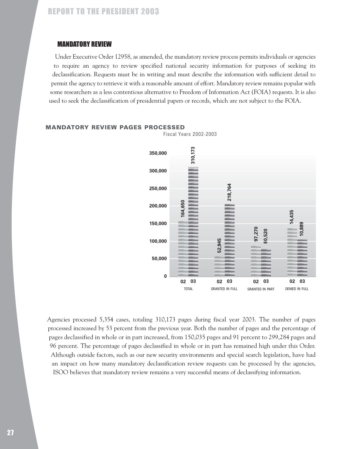### MANDATORY REVIEW

Under Executive Order 12958, as amended, the mandatory review process permits individuals or agencies to require an agency to review specified national security information for purposes of seeking its declassification. Requests must be in writing and must describe the information with sufficient detail to permit the agency to retrieve it with a reasonable amount of effort. Mandatory review remains popular with some researchers as a less contentious alternative to Freedom of Information Act (FOIA) requests. It is also used to seek the declassification of presidential papers or records, which are not subject to the FOIA.



#### MANDATORY REVIEW PAGES PROCESSED

Agencies processed 5,354 cases, totaling 310,173 pages during fiscal year 2003. The number of pages processed increased by 53 percent from the previous year. Both the number of pages and the percentage of pages declassified in whole or in part increased, from 150,035 pages and 91 percent to 299,284 pages and 96 percent. The percentage of pages declassified in whole or in part has remained high under this Order. Although outside factors, such as our new security environments and special search legislation, have had an impact on how many mandatory declassification review requests can be processed by the agencies, ISOO believes that mandatory review remains a very successful means of declassifying information.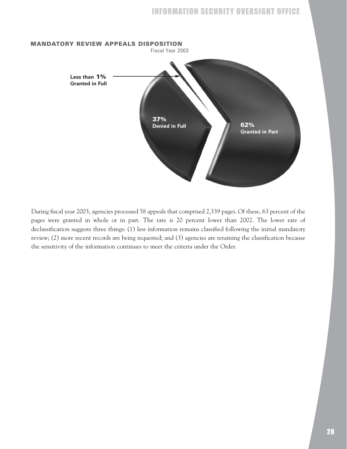

During fiscal year 2003, agencies processed 58 appeals that comprised 2,339 pages. Of these, 63 percent of the pages were granted in whole or in part. The rate is 20 percent lower than 2002. The lower rate of declassification suggests three things: (1) less information remains classified following the initial mandatory review; (2) more recent records are being requested; and (3) agencies are retaining the classification because the sensitivity of the information continues to meet the criteria under the Order.